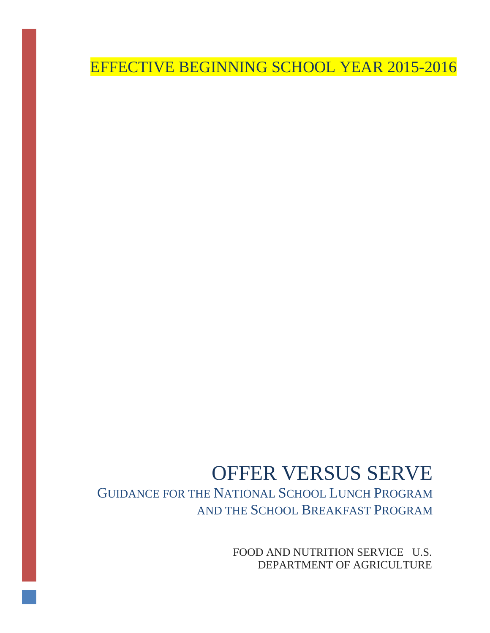EFFECTIVE BEGINNING SCHOOL YEAR 2015-2016

# OFFER VERSUS SERVE

GUIDANCE FOR THE NATIONAL SCHOOL LUNCH PROGRAM AND THE SCHOOL BREAKFAST PROGRAM

> FOOD AND NUTRITION SERVICE U.S. DEPARTMENT OF AGRICULTURE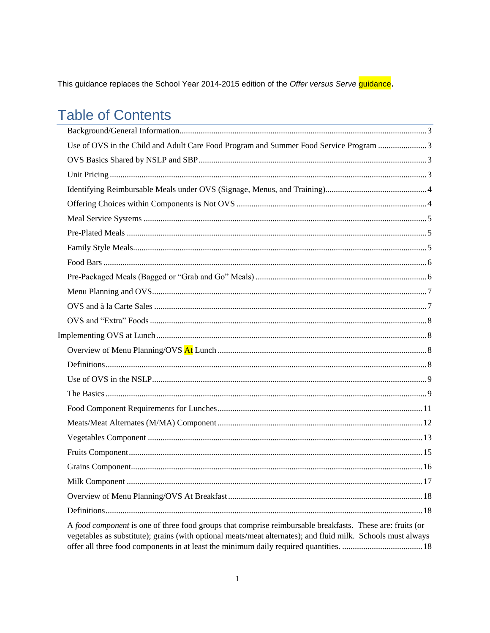This guidance replaces the School Year 2014-2015 edition of the Offer versus Serve guidance.

# **Table of Contents**

| Use of OVS in the Child and Adult Care Food Program and Summer Food Service Program 3                                                                                                                                     |
|---------------------------------------------------------------------------------------------------------------------------------------------------------------------------------------------------------------------------|
|                                                                                                                                                                                                                           |
|                                                                                                                                                                                                                           |
|                                                                                                                                                                                                                           |
|                                                                                                                                                                                                                           |
|                                                                                                                                                                                                                           |
|                                                                                                                                                                                                                           |
|                                                                                                                                                                                                                           |
|                                                                                                                                                                                                                           |
|                                                                                                                                                                                                                           |
|                                                                                                                                                                                                                           |
|                                                                                                                                                                                                                           |
|                                                                                                                                                                                                                           |
|                                                                                                                                                                                                                           |
|                                                                                                                                                                                                                           |
|                                                                                                                                                                                                                           |
|                                                                                                                                                                                                                           |
|                                                                                                                                                                                                                           |
|                                                                                                                                                                                                                           |
|                                                                                                                                                                                                                           |
|                                                                                                                                                                                                                           |
|                                                                                                                                                                                                                           |
|                                                                                                                                                                                                                           |
| 17                                                                                                                                                                                                                        |
|                                                                                                                                                                                                                           |
|                                                                                                                                                                                                                           |
| A food component is one of three food groups that comprise reimbursable breakfasts. These are: fruits (or<br>vegetables as substitute); grains (with optional meats/meat alternates); and fluid milk. Schools must always |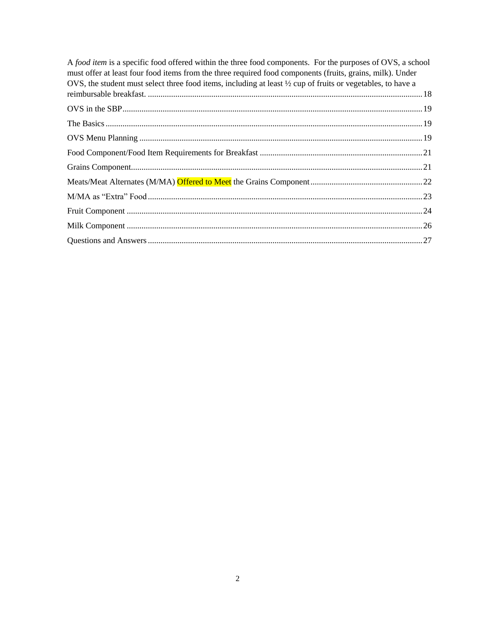| A food item is a specific food offered within the three food components. For the purposes of OVS, a school<br>must offer at least four food items from the three required food components (fruits, grains, milk). Under<br>OVS, the student must select three food items, including at least $\frac{1}{2}$ cup of fruits or vegetables, to have a |  |
|---------------------------------------------------------------------------------------------------------------------------------------------------------------------------------------------------------------------------------------------------------------------------------------------------------------------------------------------------|--|
|                                                                                                                                                                                                                                                                                                                                                   |  |
|                                                                                                                                                                                                                                                                                                                                                   |  |
|                                                                                                                                                                                                                                                                                                                                                   |  |
|                                                                                                                                                                                                                                                                                                                                                   |  |
|                                                                                                                                                                                                                                                                                                                                                   |  |
|                                                                                                                                                                                                                                                                                                                                                   |  |
|                                                                                                                                                                                                                                                                                                                                                   |  |
|                                                                                                                                                                                                                                                                                                                                                   |  |
|                                                                                                                                                                                                                                                                                                                                                   |  |
|                                                                                                                                                                                                                                                                                                                                                   |  |
|                                                                                                                                                                                                                                                                                                                                                   |  |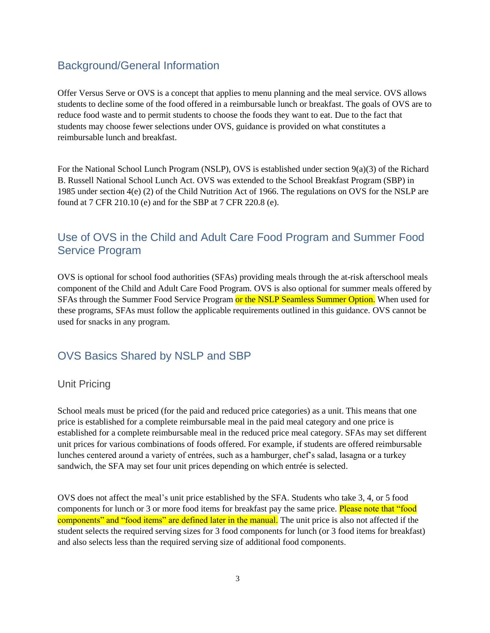## <span id="page-3-0"></span>Background/General Information

Offer Versus Serve or OVS is a concept that applies to menu planning and the meal service. OVS allows students to decline some of the food offered in a reimbursable lunch or breakfast. The goals of OVS are to reduce food waste and to permit students to choose the foods they want to eat. Due to the fact that students may choose fewer selections under OVS, guidance is provided on what constitutes a reimbursable lunch and breakfast.

For the National School Lunch Program (NSLP), OVS is established under section 9(a)(3) of the Richard B. Russell National School Lunch Act. OVS was extended to the School Breakfast Program (SBP) in 1985 under section 4(e) (2) of the Child Nutrition Act of 1966. The regulations on OVS for the NSLP are found at 7 CFR 210.10 (e) and for the SBP at 7 CFR 220.8 (e).

## <span id="page-3-1"></span>Use of OVS in the Child and Adult Care Food Program and Summer Food Service Program

OVS is optional for school food authorities (SFAs) providing meals through the at-risk afterschool meals component of the Child and Adult Care Food Program. OVS is also optional for summer meals offered by SFAs through the Summer Food Service Program or the NSLP Seamless Summer Option. When used for these programs, SFAs must follow the applicable requirements outlined in this guidance. OVS cannot be used for snacks in any program.

## <span id="page-3-2"></span>OVS Basics Shared by NSLP and SBP

#### <span id="page-3-3"></span>Unit Pricing

School meals must be priced (for the paid and reduced price categories) as a unit. This means that one price is established for a complete reimbursable meal in the paid meal category and one price is established for a complete reimbursable meal in the reduced price meal category. SFAs may set different unit prices for various combinations of foods offered. For example, if students are offered reimbursable lunches centered around a variety of entrées, such as a hamburger, chef's salad, lasagna or a turkey sandwich, the SFA may set four unit prices depending on which entrée is selected.

OVS does not affect the meal's unit price established by the SFA. Students who take 3, 4, or 5 food components for lunch or 3 or more food items for breakfast pay the same price. **Please note that "food** components" and "food items" are defined later in the manual. The unit price is also not affected if the student selects the required serving sizes for 3 food components for lunch (or 3 food items for breakfast) and also selects less than the required serving size of additional food components.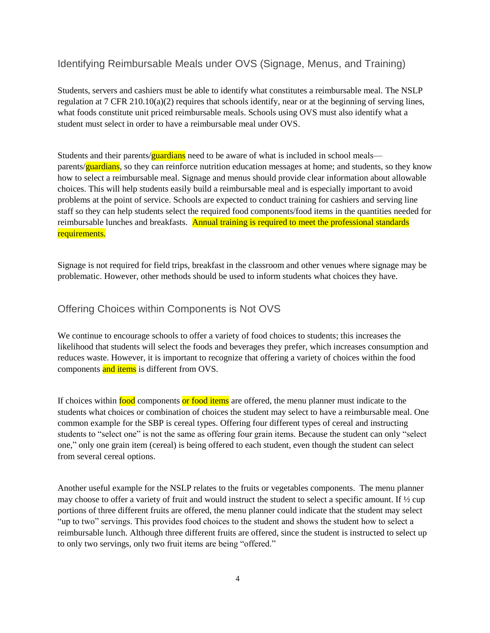#### <span id="page-4-0"></span>Identifying Reimbursable Meals under OVS (Signage, Menus, and Training)

Students, servers and cashiers must be able to identify what constitutes a reimbursable meal. The NSLP regulation at 7 CFR 210.10(a)(2) requires that schools identify, near or at the beginning of serving lines, what foods constitute unit priced reimbursable meals. Schools using OVS must also identify what a student must select in order to have a reimbursable meal under OVS.

Students and their parents/**guardians** need to be aware of what is included in school meals parents/guardians, so they can reinforce nutrition education messages at home; and students, so they know how to select a reimbursable meal. Signage and menus should provide clear information about allowable choices. This will help students easily build a reimbursable meal and is especially important to avoid problems at the point of service. Schools are expected to conduct training for cashiers and serving line staff so they can help students select the required food components/food items in the quantities needed for reimbursable lunches and breakfasts. Annual training is required to meet the professional standards requirements.

Signage is not required for field trips, breakfast in the classroom and other venues where signage may be problematic. However, other methods should be used to inform students what choices they have.

#### <span id="page-4-1"></span>Offering Choices within Components is Not OVS

We continue to encourage schools to offer a variety of food choices to students; this increases the likelihood that students will select the foods and beverages they prefer, which increases consumption and reduces waste. However, it is important to recognize that offering a variety of choices within the food components and items is different from OVS.

If choices within food components or food items are offered, the menu planner must indicate to the students what choices or combination of choices the student may select to have a reimbursable meal. One common example for the SBP is cereal types. Offering four different types of cereal and instructing students to "select one" is not the same as offering four grain items. Because the student can only "select one," only one grain item (cereal) is being offered to each student, even though the student can select from several cereal options.

Another useful example for the NSLP relates to the fruits or vegetables components. The menu planner may choose to offer a variety of fruit and would instruct the student to select a specific amount. If ½ cup portions of three different fruits are offered, the menu planner could indicate that the student may select "up to two" servings. This provides food choices to the student and shows the student how to select a reimbursable lunch. Although three different fruits are offered, since the student is instructed to select up to only two servings, only two fruit items are being "offered."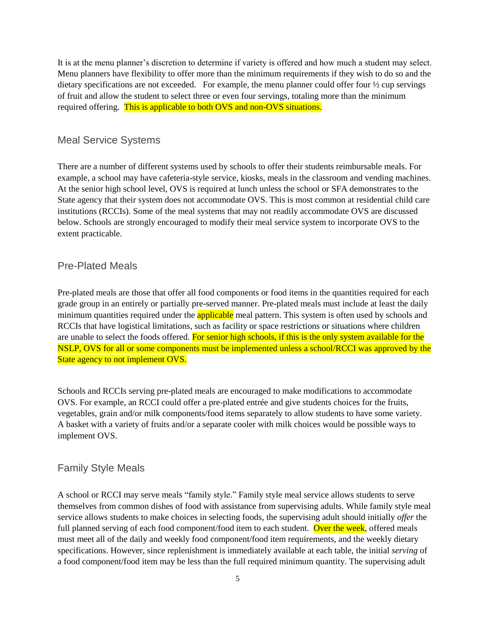It is at the menu planner's discretion to determine if variety is offered and how much a student may select. Menu planners have flexibility to offer more than the minimum requirements if they wish to do so and the dietary specifications are not exceeded. For example, the menu planner could offer four  $\frac{1}{2}$  cup servings of fruit and allow the student to select three or even four servings, totaling more than the minimum required offering. This is applicable to both OVS and non-OVS situations.

#### <span id="page-5-0"></span>Meal Service Systems

There are a number of different systems used by schools to offer their students reimbursable meals. For example, a school may have cafeteria-style service, kiosks, meals in the classroom and vending machines. At the senior high school level, OVS is required at lunch unless the school or SFA demonstrates to the State agency that their system does not accommodate OVS. This is most common at residential child care institutions (RCCIs). Some of the meal systems that may not readily accommodate OVS are discussed below. Schools are strongly encouraged to modify their meal service system to incorporate OVS to the extent practicable.

#### <span id="page-5-1"></span>Pre-Plated Meals

Pre-plated meals are those that offer all food components or food items in the quantities required for each grade group in an entirely or partially pre-served manner. Pre-plated meals must include at least the daily minimum quantities required under the **applicable** meal pattern. This system is often used by schools and RCCIs that have logistical limitations, such as facility or space restrictions or situations where children are unable to select the foods offered. For senior high schools, if this is the only system available for the NSLP, OVS for all or some components must be implemented unless a school/RCCI was approved by the State agency to not implement OVS.

Schools and RCCIs serving pre-plated meals are encouraged to make modifications to accommodate OVS. For example, an RCCI could offer a pre-plated entrée and give students choices for the fruits, vegetables, grain and/or milk components/food items separately to allow students to have some variety. A basket with a variety of fruits and/or a separate cooler with milk choices would be possible ways to implement OVS.

#### <span id="page-5-2"></span>Family Style Meals

A school or RCCI may serve meals "family style." Family style meal service allows students to serve themselves from common dishes of food with assistance from supervising adults. While family style meal service allows students to make choices in selecting foods, the supervising adult should initially *offer* the full planned serving of each food component/food item to each student. Over the week, offered meals must meet all of the daily and weekly food component/food item requirements, and the weekly dietary specifications. However, since replenishment is immediately available at each table, the initial *serving* of a food component/food item may be less than the full required minimum quantity. The supervising adult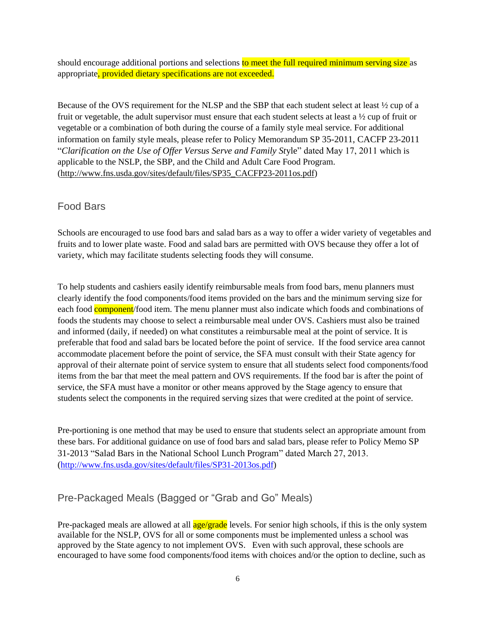should encourage additional portions and selections to meet the full required minimum serving size as appropriate, provided dietary specifications are not exceeded.

Because of the OVS requirement for the NLSP and the SBP that each student select at least ½ cup of a fruit or vegetable, the adult supervisor must ensure that each student selects at least a  $\frac{1}{2}$  cup of fruit or vegetable or a combination of both during the course of a family style meal service. For additional information on family style meals, please refer to Policy Memorandum SP 35-2011, CACFP 23-2011 "*Clarification on the Use of Offer Versus Serve and Family St*yle" dated May 17, 2011 which is applicable to the NSLP, the SBP, and the Child and Adult Care Food Program. [\(http://www.fns.usda.gov/sites/default/files/SP35\\_CACFP23-2011os.pdf\)](http://www.fns.usda.gov/sites/default/files/SP35_CACFP23-2011os.pdf)

#### <span id="page-6-0"></span>Food Bars

Schools are encouraged to use food bars and salad bars as a way to offer a wider variety of vegetables and fruits and to lower plate waste. Food and salad bars are permitted with OVS because they offer a lot of variety, which may facilitate students selecting foods they will consume.

To help students and cashiers easily identify reimbursable meals from food bars, menu planners must clearly identify the food components/food items provided on the bars and the minimum serving size for each food **component**/food item. The menu planner must also indicate which foods and combinations of foods the students may choose to select a reimbursable meal under OVS. Cashiers must also be trained and informed (daily, if needed) on what constitutes a reimbursable meal at the point of service. It is preferable that food and salad bars be located before the point of service. If the food service area cannot accommodate placement before the point of service, the SFA must consult with their State agency for approval of their alternate point of service system to ensure that all students select food components/food items from the bar that meet the meal pattern and OVS requirements. If the food bar is after the point of service, the SFA must have a monitor or other means approved by the Stage agency to ensure that students select the components in the required serving sizes that were credited at the point of service.

Pre-portioning is one method that may be used to ensure that students select an appropriate amount from these bars. For additional guidance on use of food bars and salad bars, please refer to Policy Memo SP 31-2013 "Salad Bars in the National School Lunch Program" dated March 27, 2013. ([http://www.fns.usda.gov/sites/default/files/SP31-2013os.pdf\)](http://www.fns.usda.gov/sites/default/files/SP31-2013os.pdf)

## <span id="page-6-1"></span>Pre-Packaged Meals (Bagged or "Grab and Go" Meals)

Pre-packaged meals are allowed at all  $\frac{age/grade}{levels}$  levels. For senior high schools, if this is the only system available for the NSLP, OVS for all or some components must be implemented unless a school was approved by the State agency to not implement OVS. Even with such approval, these schools are encouraged to have some food components/food items with choices and/or the option to decline, such as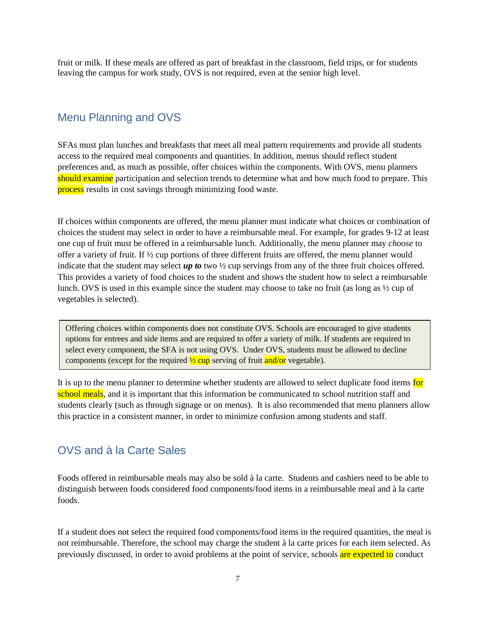fruit or milk. If these meals are offered as part of breakfast in the classroom, field trips, or for students leaving the campus for work study, OVS is not required, even at the senior high level.

#### <span id="page-7-0"></span>Menu Planning and OVS

SFAs must plan lunches and breakfasts that meet all meal pattern requirements and provide all students access to the required meal components and quantities. In addition, menus should reflect student preferences and, as much as possible, offer choices within the components. With OVS, menu planners should examine participation and selection trends to determine what and how much food to prepare. This process results in cost savings through minimizing food waste.

If choices within components are offered, the menu planner must indicate what choices or combination of choices the student may select in order to have a reimbursable meal. For example, for grades 9-12 at least one cup of fruit must be offered in a reimbursable lunch. Additionally, the menu planner may *choose* to offer a variety of fruit. If ½ cup portions of three different fruits are offered, the menu planner would indicate that the student may select  $up to \text{ two } \frac{1}{2}$  cup servings from any of the three fruit choices offered. This provides a variety of food choices to the student and shows the student how to select a reimbursable lunch. OVS is used in this example since the student may choose to take no fruit (as long as ½ cup of vegetables is selected).

Offering choices within components does not constitute OVS. Schools are encouraged to give students options for entrees and side items and are required to offer a variety of milk. If students are required to select every component, the SFA is not using OVS. Under OVS, students must be allowed to decline components (except for the required  $\frac{1}{2}$  cup serving of fruit and/or vegetable).

It is up to the menu planner to determine whether students are allowed to select duplicate food items for school meals, and it is important that this information be communicated to school nutrition staff and students clearly (such as through signage or on menus). It is also recommended that menu planners allow this practice in a consistent manner, in order to minimize confusion among students and staff.

## <span id="page-7-1"></span>OVS and à la Carte Sales

 $\overline{\phantom{a}}$ 

Foods offered in reimbursable meals may also be sold à la carte. Students and cashiers need to be able to distinguish between foods considered food components/food items in a reimbursable meal and à la carte foods.

If a student does not select the required food components/food items in the required quantities, the meal is not reimbursable. Therefore, the school may charge the student à la carte prices for each item selected. As previously discussed, in order to avoid problems at the point of service, schools are expected to conduct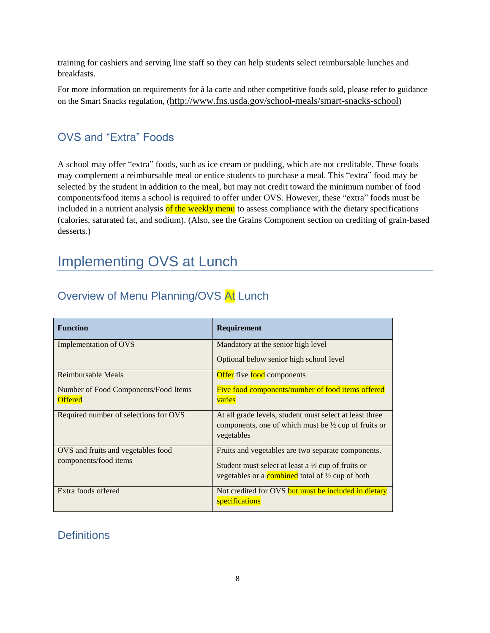training for cashiers and serving line staff so they can help students select reimbursable lunches and breakfasts.

For more information on requirements for à la carte and other competitive foods sold, please refer to guidance on the Smart Snacks regulation, (<http://www.fns.usda.gov/school-meals/smart-snacks-school>)

## <span id="page-8-0"></span>OVS and "Extra" Foods

A school may offer "extra" foods, such as ice cream or pudding, which are not creditable. These foods may complement a reimbursable meal or entice students to purchase a meal. This "extra" food may be selected by the student in addition to the meal, but may not credit toward the minimum number of food components/food items a school is required to offer under OVS. However, these "extra" foods must be included in a nutrient analysis of the weekly menu to assess compliance with the dietary specifications (calories, saturated fat, and sodium). (Also, see the Grains Component section on crediting of grain-based desserts.)

# <span id="page-8-1"></span>Implementing OVS at Lunch

| <b>Function</b>                                             | Requirement                                                                                                                                                                        |
|-------------------------------------------------------------|------------------------------------------------------------------------------------------------------------------------------------------------------------------------------------|
| Implementation of OVS                                       | Mandatory at the senior high level<br>Optional below senior high school level                                                                                                      |
| Reimbursable Meals                                          | Offer five food components                                                                                                                                                         |
| Number of Food Components/Food Items<br><b>Offered</b>      | Five food components/number of food items offered<br>varies                                                                                                                        |
| Required number of selections for OVS                       | At all grade levels, student must select at least three<br>components, one of which must be $\frac{1}{2}$ cup of fruits or<br>vegetables                                           |
| OVS and fruits and vegetables food<br>components/food items | Fruits and vegetables are two separate components.<br>Student must select at least a $\frac{1}{2}$ cup of fruits or<br>vegetables or a combined total of $\frac{1}{2}$ cup of both |
| Extra foods offered                                         | Not credited for OVS but must be included in dietary<br>specifications                                                                                                             |

## <span id="page-8-2"></span>Overview of Menu Planning/OVS At Lunch

## <span id="page-8-3"></span>**Definitions**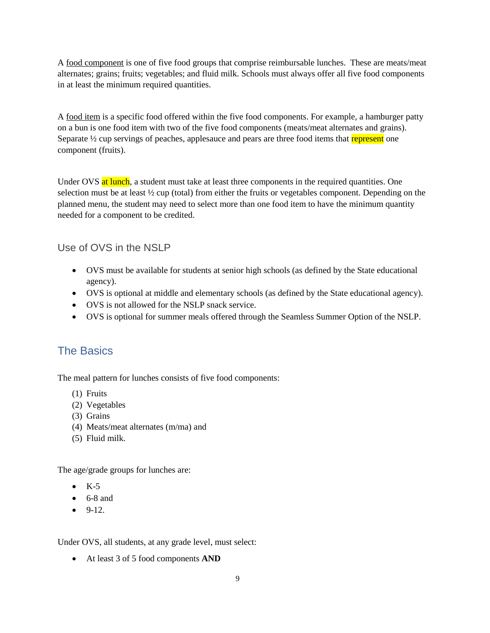A food component is one of five food groups that comprise reimbursable lunches. These are meats/meat alternates; grains; fruits; vegetables; and fluid milk. Schools must always offer all five food components in at least the minimum required quantities.

A food item is a specific food offered within the five food components. For example, a hamburger patty on a bun is one food item with two of the five food components (meats/meat alternates and grains). Separate  $\frac{1}{2}$  cup servings of peaches, applesauce and pears are three food items that represent one component (fruits).

Under OVS at lunch, a student must take at least three components in the required quantities. One selection must be at least 1/2 cup (total) from either the fruits or vegetables component. Depending on the planned menu, the student may need to select more than one food item to have the minimum quantity needed for a component to be credited.

<span id="page-9-0"></span>Use of OVS in the NSI P

- OVS must be available for students at senior high schools (as defined by the State educational agency).
- OVS is optional at middle and elementary schools (as defined by the State educational agency).
- OVS is not allowed for the NSLP snack service.
- OVS is optional for summer meals offered through the Seamless Summer Option of the NSLP.

## <span id="page-9-1"></span>The Basics

The meal pattern for lunches consists of five food components:

- (1) Fruits
- (2) Vegetables
- (3) Grains
- (4) Meats/meat alternates (m/ma) and
- (5) Fluid milk.

The age/grade groups for lunches are:

- $\bullet$  K-5
- $\bullet$  6-8 and
- $-9-12.$

Under OVS, all students, at any grade level, must select:

At least 3 of 5 food components **AND**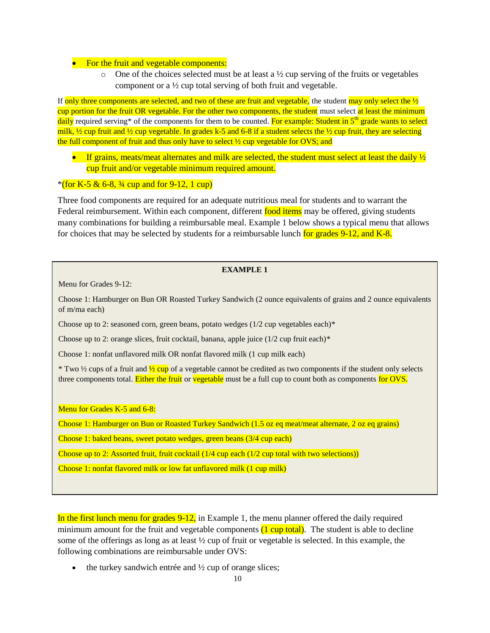#### • For the fruit and vegetable components:

 $\circ$  One of the choices selected must be at least a ½ cup serving of the fruits or vegetables component or a ½ cup total serving of both fruit and vegetable.

If only three components are selected, and two of these are fruit and vegetable, the student may only select the  $\frac{1}{2}$ cup portion for the fruit OR vegetable. For the other two components, the student must select at least the minimum  $d$ aily required serving\* of the components for them to be counted. For example: Student in  $5<sup>th</sup>$  grade wants to select milk,  $\frac{1}{2}$  cup fruit and  $\frac{1}{2}$  cup vegetable. In grades k-5 and 6-8 if a student selects the  $\frac{1}{2}$  cup fruit, they are selecting the full component of fruit and thus only have to select  $\frac{1}{2}$  cup vegetable for OVS; and

If grains, meats/meat alternates and milk are selected, the student must select at least the daily  $\frac{1}{2}$ cup fruit and/or vegetable minimum required amount.

#### $*($  for K-5 & 6-8,  $\frac{3}{4}$  cup and for 9-12, 1 cup)

Three food components are required for an adequate nutritious meal for students and to warrant the Federal reimbursement. Within each component, different food items may be offered, giving students many combinations for building a reimbursable meal. Example 1 below shows a typical menu that allows for choices that may be selected by students for a reimbursable lunch for grades  $9-12$ , and K-8.

#### **EXAMPLE 1**

Menu for Grades 9-12:

Choose 1: Hamburger on Bun OR Roasted Turkey Sandwich (2 ounce equivalents of grains and 2 ounce equivalents of m/ma each)

Choose up to 2: seasoned corn, green beans, potato wedges (1/2 cup vegetables each)\*

Choose up to 2: orange slices, fruit cocktail, banana, apple juice  $(1/2$  cup fruit each)\*

Choose 1: nonfat unflavored milk OR nonfat flavored milk (1 cup milk each)

<sup>\*</sup> Two  $\frac{1}{2}$  cups of a fruit and  $\frac{1}{2}$  cup of a vegetable cannot be credited as two components if the student only selects three components total. Either the fruit or vegetable must be a full cup to count both as components for OVS.

Menu for Grades K-5 and 6-8:

Choose 1: Hamburger on Bun or Roasted Turkey Sandwich (1.5 oz eq meat/meat alternate, 2 oz eq grains)

Choose 1: baked beans, sweet potato wedges, green beans (3/4 cup each)

Choose up to 2: Assorted fruit, fruit cocktail (1/4 cup each (1/2 cup total with two selections))

Choose 1: nonfat flavored milk or low fat unflavored milk (1 cup milk)

In the first lunch menu for grades 9-12, in Example 1, the menu planner offered the daily required minimum amount for the fruit and vegetable components  $(1 \text{ cup total})$ . The student is able to decline some of the offerings as long as at least ½ cup of fruit or vegetable is selected. In this example, the following combinations are reimbursable under OVS:

the turkey sandwich entrée and ½ cup of orange slices;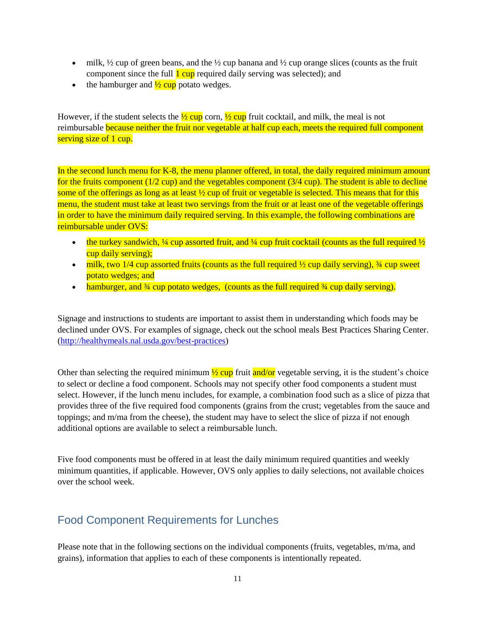- $\bullet$  milk,  $\frac{1}{2}$  cup of green beans, and the  $\frac{1}{2}$  cup banana and  $\frac{1}{2}$  cup orange slices (counts as the fruit component since the full  $\frac{1 \text{ cup}}{1 \text{ cup}}$  required daily serving was selected); and
- the hamburger and  $\frac{1}{2}$  cup potato wedges.

However, if the student selects the  $\frac{1}{2}$  cup corn,  $\frac{1}{2}$  cup fruit cocktail, and milk, the meal is not reimbursable because neither the fruit nor vegetable at half cup each, meets the required full component serving size of 1 cup.

In the second lunch menu for K-8, the menu planner offered, in total, the daily required minimum amount for the fruits component  $(1/2 \text{ cup})$  and the vegetables component  $(3/4 \text{ cup})$ . The student is able to decline some of the offerings as long as at least  $\frac{1}{2}$  cup of fruit or vegetable is selected. This means that for this menu, the student must take at least two servings from the fruit or at least one of the vegetable offerings in order to have the minimum daily required serving. In this example, the following combinations are reimbursable under OVS:

- the turkey sandwich,  $\frac{1}{4}$  cup assorted fruit, and  $\frac{1}{4}$  cup fruit cocktail (counts as the full required  $\frac{1}{2}$ ) cup daily serving);
- $\bullet$  milk, two 1/4 cup assorted fruits (counts as the full required  $\frac{1}{2}$  cup daily serving),  $\frac{3}{4}$  cup sweet potato wedges; and
- hamburger, and  $\frac{3}{4}$  cup potato wedges, (counts as the full required  $\frac{3}{4}$  cup daily serving).

Signage and instructions to students are important to assist them in understanding which foods may be declined under OVS. For examples of signage, check out the school meals Best Practices Sharing Center. [\(http://healthymeals.nal.usda.gov/best-practices\)](http://healthymeals.nal.usda.gov/best-practices)

Other than selecting the required minimum  $\frac{1}{2}$  cup fruit and/or vegetable serving, it is the student's choice to select or decline a food component. Schools may not specify other food components a student must select. However, if the lunch menu includes, for example, a combination food such as a slice of pizza that provides three of the five required food components (grains from the crust; vegetables from the sauce and toppings; and m/ma from the cheese), the student may have to select the slice of pizza if not enough additional options are available to select a reimbursable lunch.

Five food components must be offered in at least the daily minimum required quantities and weekly minimum quantities, if applicable. However, OVS only applies to daily selections, not available choices over the school week.

## <span id="page-11-0"></span>Food Component Requirements for Lunches

Please note that in the following sections on the individual components (fruits, vegetables, m/ma, and grains), information that applies to each of these components is intentionally repeated.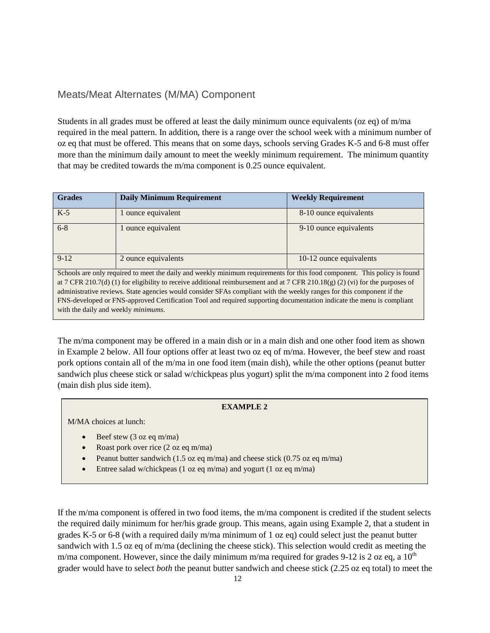## <span id="page-12-0"></span>Meats/Meat Alternates (M/MA) Component

Students in all grades must be offered at least the daily minimum ounce equivalents (oz eq) of m/ma required in the meal pattern. In addition, there is a range over the school week with a minimum number of oz eq that must be offered. This means that on some days, schools serving Grades K-5 and 6-8 must offer more than the minimum daily amount to meet the weekly minimum requirement. The minimum quantity that may be credited towards the m/ma component is 0.25 ounce equivalent.

| <b>Grades</b> | <b>Daily Minimum Requirement</b>                                                                                              | <b>Weekly Requirement</b> |
|---------------|-------------------------------------------------------------------------------------------------------------------------------|---------------------------|
| $K-5$         | 1 ounce equivalent                                                                                                            | 8-10 ounce equivalents    |
| $6 - 8$       | 1 ounce equivalent                                                                                                            | 9-10 ounce equivalents    |
| $9-12$        | 2 ounce equivalents                                                                                                           | 10-12 ounce equivalents   |
|               | Schools are only required to meet the daily and weekly minimum requirements for this food component. This policy is found     |                           |
|               | at 7 CFR 210.7(d) (1) for eligibility to receive additional reimbursement and at 7 CFR 210.18(g) (2) (vi) for the purposes of |                           |
|               | administrative reviews. State agencies would consider SFAs compliant with the weekly ranges for this component if the         |                           |
|               | FNS-developed or FNS-approved Certification Tool and required supporting documentation indicate the menu is compliant         |                           |

The m/ma component may be offered in a main dish or in a main dish and one other food item as shown in Example 2 below. All four options offer at least two oz eq of m/ma. However, the beef stew and roast pork options contain all of the m/ma in one food item (main dish), while the other options (peanut butter sandwich plus cheese stick or salad w/chickpeas plus yogurt) split the m/ma component into 2 food items (main dish plus side item).

#### **EXAMPLE 2**

M/MA choices at lunch:

with the daily and weekly *minimums*.

- Beef stew (3 oz eq m/ma)
- Roast pork over rice (2 oz eq m/ma)
- Peanut butter sandwich (1.5 oz eq m/ma) and cheese stick (0.75 oz eq m/ma)
- Entree salad w/chickpeas (1 oz eq m/ma) and yogurt (1 oz eq m/ma)

If the m/ma component is offered in two food items, the m/ma component is credited if the student selects the required daily minimum for her/his grade group. This means, again using Example 2, that a student in grades K-5 or 6-8 (with a required daily m/ma minimum of 1 oz eq) could select just the peanut butter sandwich with 1.5 oz eq of m/ma (declining the cheese stick). This selection would credit as meeting the m/ma component. However, since the daily minimum m/ma required for grades 9-12 is 2 oz eq. a  $10^{th}$ grader would have to select *both* the peanut butter sandwich and cheese stick (2.25 oz eq total) to meet the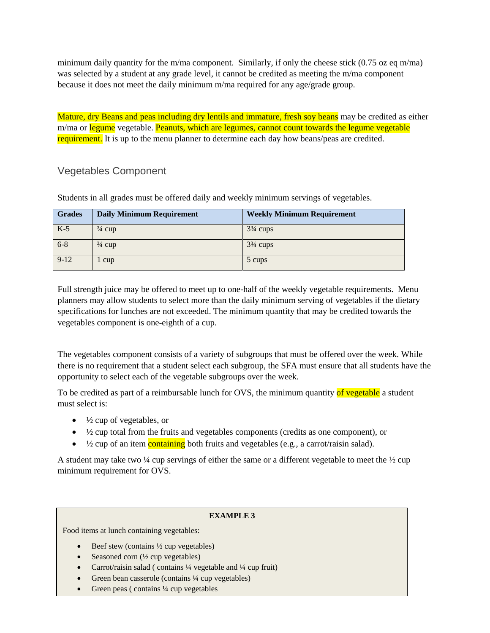minimum daily quantity for the m/ma component. Similarly, if only the cheese stick  $(0.75 \text{ oz eq m/mol})$ was selected by a student at any grade level, it cannot be credited as meeting the m/ma component because it does not meet the daily minimum m/ma required for any age/grade group.

Mature, dry Beans and peas including dry lentils and immature, fresh soy beans may be credited as either m/ma or legume vegetable. Peanuts, which are legumes, cannot count towards the legume vegetable requirement. It is up to the menu planner to determine each day how beans/peas are credited.

## <span id="page-13-0"></span>Vegetables Component

| <b>Grades</b> | <b>Daily Minimum Requirement</b> | <b>Weekly Minimum Requirement</b> |
|---------------|----------------------------------|-----------------------------------|
| $K-5$         | $\frac{3}{4}$ cup                | $3\frac{3}{4}$ cups               |
| $6 - 8$       | $\frac{3}{4}$ cup                | $3\frac{3}{4}$ cups               |
| $9 - 12$      | 1 cup                            | 5 cups                            |

Students in all grades must be offered daily and weekly minimum servings of vegetables.

Full strength juice may be offered to meet up to one-half of the weekly vegetable requirements. Menu planners may allow students to select more than the daily minimum serving of vegetables if the dietary specifications for lunches are not exceeded. The minimum quantity that may be credited towards the vegetables component is one-eighth of a cup.

The vegetables component consists of a variety of subgroups that must be offered over the week. While there is no requirement that a student select each subgroup, the SFA must ensure that all students have the opportunity to select each of the vegetable subgroups over the week.

To be credited as part of a reimbursable lunch for OVS, the minimum quantity of vegetable a student must select is:

- $\bullet$   $\frac{1}{2}$  cup of vegetables, or
- $\bullet\quad$   $\frac{1}{2}$  cup total from the fruits and vegetables components (credits as one component), or
- $\bullet$   $\frac{1}{2}$  cup of an item containing both fruits and vegetables (e.g., a carrot/raisin salad).

A student may take two  $\frac{1}{4}$  cup servings of either the same or a different vegetable to meet the  $\frac{1}{2}$  cup minimum requirement for OVS.

#### **EXAMPLE 3**

Food items at lunch containing vegetables:

- $\bullet$  Beef stew (contains  $\frac{1}{2}$  cup vegetables)
- Seasoned corn  $(\frac{1}{2})$  cup vegetables)
- Carrot/raisin salad ( contains  $\frac{1}{4}$  vegetable and  $\frac{1}{4}$  cup fruit)
- Green bean casserole (contains 1/4 cup vegetables)
- Green peas ( contains  $\frac{1}{4}$  cup vegetables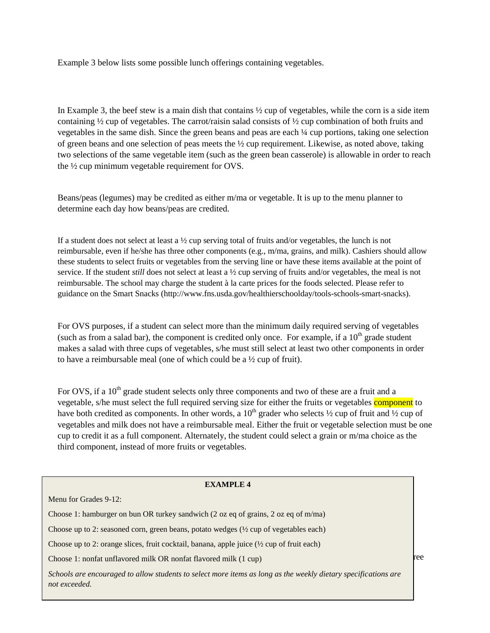Example 3 below lists some possible lunch offerings containing vegetables.

In Example 3, the beef stew is a main dish that contains ½ cup of vegetables, while the corn is a side item containing  $\frac{1}{2}$  cup of vegetables. The carrot/raisin salad consists of  $\frac{1}{2}$  cup combination of both fruits and vegetables in the same dish. Since the green beans and peas are each ¼ cup portions, taking one selection of green beans and one selection of peas meets the  $\frac{1}{2}$  cup requirement. Likewise, as noted above, taking two selections of the same vegetable item (such as the green bean casserole) is allowable in order to reach the ½ cup minimum vegetable requirement for OVS.

Beans/peas (legumes) may be credited as either m/ma or vegetable. It is up to the menu planner to determine each day how beans/peas are credited.

If a student does not select at least a  $\frac{1}{2}$  cup serving total of fruits and/or vegetables, the lunch is not reimbursable, even if he/she has three other components (e.g., m/ma, grains, and milk). Cashiers should allow these students to select fruits or vegetables from the serving line or have these items available at the point of service. If the student *still* does not select at least a ½ cup serving of fruits and/or vegetables, the meal is not reimbursable. The school may charge the student à la carte prices for the foods selected. Please refer to guidance on the Smart Snacks [\(http://www.fns.usda.gov/healthierschoolday/tools-schools-smart-snacks\)](http://www.fns.usda.gov/healthierschoolday/tools-schools-smart-snacks).

For OVS purposes, if a student can select more than the minimum daily required serving of vegetables (such as from a salad bar), the component is credited only once. For example, if a  $10<sup>th</sup>$  grade student makes a salad with three cups of vegetables, s/he must still select at least two other components in order to have a reimbursable meal (one of which could be a ½ cup of fruit).

For OVS, if a 10<sup>th</sup> grade student selects only three components and two of these are a fruit and a vegetable, s/he must select the full required serving size for either the fruits or vegetables component to have both credited as components. In other words, a  $10^{th}$  grader who selects  $\frac{1}{2}$  cup of fruit and  $\frac{1}{2}$  cup of vegetables and milk does not have a reimbursable meal. Either the fruit or vegetable selection must be one cup to credit it as a full component. Alternately, the student could select a grain or m/ma choice as the third component, instead of more fruits or vegetables.

| <b>EXAMPLE 4</b>                                                                                                                |     |
|---------------------------------------------------------------------------------------------------------------------------------|-----|
| Menu for Grades 9-12:                                                                                                           |     |
| Choose 1: hamburger on bun OR turkey sandwich (2 oz eq of grains, 2 oz eq of m/ma)                                              |     |
| Choose up to 2: seasoned corn, green beans, potato wedges $(\frac{1}{2})$ cup of vegetables each)                               |     |
| Choose up to 2: orange slices, fruit cocktail, banana, apple juice $(\frac{1}{2})$ cup of fruit each)                           |     |
| Choose 1: nonfat unflavored milk OR nonfat flavored milk (1 cup)                                                                | ree |
| Schools are encouraged to allow students to select more items as long as the weekly dietary specifications are<br>not exceeded. |     |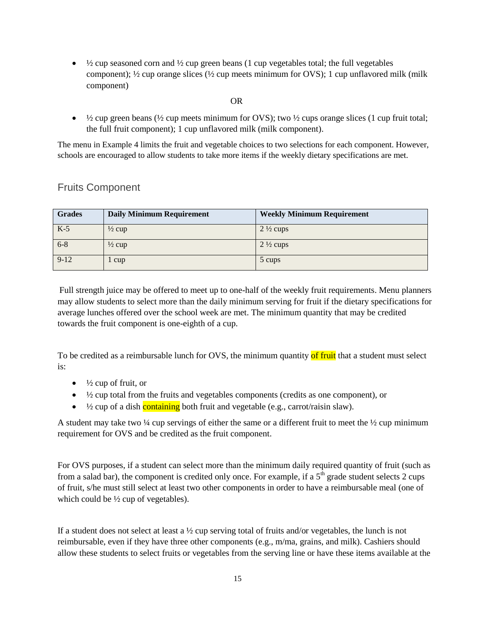$\bullet\quad$   $\frac{1}{2}$  cup seasoned corn and  $\frac{1}{2}$  cup green beans (1 cup vegetables total; the full vegetables component);  $\frac{1}{2}$  cup orange slices ( $\frac{1}{2}$  cup meets minimum for OVS); 1 cup unflavored milk (milk component)

#### OR

 $\bullet\quad$   $\frac{1}{2}$  cup green beans ( $\frac{1}{2}$  cup meets minimum for OVS); two  $\frac{1}{2}$  cups orange slices (1 cup fruit total; the full fruit component); 1 cup unflavored milk (milk component).

The menu in Example 4 limits the fruit and vegetable choices to two selections for each component. However, schools are encouraged to allow students to take more items if the weekly dietary specifications are met.

### <span id="page-15-0"></span>Fruits Component

| <b>Grades</b> | <b>Daily Minimum Requirement</b> | <b>Weekly Minimum Requirement</b> |
|---------------|----------------------------------|-----------------------------------|
| $K-5$         | $\frac{1}{2}$ cup                | $2\frac{1}{2}$ cups               |
| $6 - 8$       | $\frac{1}{2}$ cup                | $2\frac{1}{2}$ cups               |
| $9 - 12$      | l cup                            | 5 cups                            |

Full strength juice may be offered to meet up to one-half of the weekly fruit requirements. Menu planners may allow students to select more than the daily minimum serving for fruit if the dietary specifications for average lunches offered over the school week are met. The minimum quantity that may be credited towards the fruit component is one-eighth of a cup.

To be credited as a reimbursable lunch for OVS, the minimum quantity of fruit that a student must select is:

- $\bullet$   $\frac{1}{2}$  cup of fruit, or
- $\bullet$   $\frac{1}{2}$  cup total from the fruits and vegetables components (credits as one component), or
- $\bullet$   $\frac{1}{2}$  cup of a dish containing both fruit and vegetable (e.g., carrot/raisin slaw).

A student may take two  $\frac{1}{4}$  cup servings of either the same or a different fruit to meet the  $\frac{1}{2}$  cup minimum requirement for OVS and be credited as the fruit component.

For OVS purposes, if a student can select more than the minimum daily required quantity of fruit (such as from a salad bar), the component is credited only once. For example, if a  $5<sup>th</sup>$  grade student selects 2 cups of fruit, s/he must still select at least two other components in order to have a reimbursable meal (one of which could be  $\frac{1}{2}$  cup of vegetables).

If a student does not select at least a  $\frac{1}{2}$  cup serving total of fruits and/or vegetables, the lunch is not reimbursable, even if they have three other components (e.g., m/ma, grains, and milk). Cashiers should allow these students to select fruits or vegetables from the serving line or have these items available at the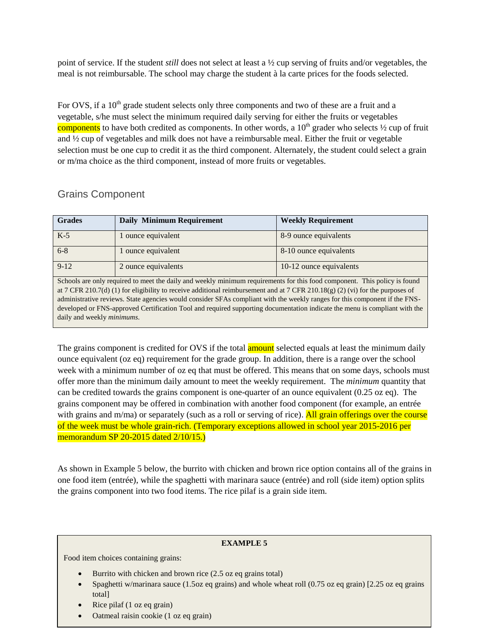point of service. If the student *still* does not select at least a ½ cup serving of fruits and/or vegetables, the meal is not reimbursable. The school may charge the student à la carte prices for the foods selected.

For OVS, if a  $10<sup>th</sup>$  grade student selects only three components and two of these are a fruit and a vegetable, s/he must select the minimum required daily serving for either the fruits or vegetables components to have both credited as components. In other words, a  $10<sup>th</sup>$  grader who selects  $\frac{1}{2}$  cup of fruit and ½ cup of vegetables and milk does not have a reimbursable meal. Either the fruit or vegetable selection must be one cup to credit it as the third component. Alternately, the student could select a grain or m/ma choice as the third component, instead of more fruits or vegetables.

## <span id="page-16-0"></span>Grains Component

| <b>Grades</b>                      | <b>Daily Minimum Requirement</b>                                                                                              | <b>Weekly Requirement</b> |
|------------------------------------|-------------------------------------------------------------------------------------------------------------------------------|---------------------------|
| $K-5$                              | ounce equivalent                                                                                                              | 8-9 ounce equivalents     |
| $6 - 8$                            | 1 ounce equivalent                                                                                                            | 8-10 ounce equivalents    |
| $9-12$                             | 2 ounce equivalents                                                                                                           | 10-12 ounce equivalents   |
|                                    | Schools are only required to meet the daily and weekly minimum requirements for this food component. This policy is found     |                           |
|                                    | at 7 CFR 210.7(d) (1) for eligibility to receive additional reimbursement and at 7 CFR 210.18(g) (2) (vi) for the purposes of |                           |
|                                    | administrative reviews. State agencies would consider SFAs compliant with the weekly ranges for this component if the FNS-    |                           |
|                                    | developed or FNS-approved Certification Tool and required supporting documentation indicate the menu is compliant with the    |                           |
| daily and weekly <i>minimums</i> . |                                                                                                                               |                           |
|                                    |                                                                                                                               |                           |

The grains component is credited for OVS if the total **amount** selected equals at least the minimum daily ounce equivalent (oz eq) requirement for the grade group. In addition, there is a range over the school week with a minimum number of oz eq that must be offered. This means that on some days, schools must offer more than the minimum daily amount to meet the weekly requirement. The *minimum* quantity that can be credited towards the grains component is one-quarter of an ounce equivalent (0.25 oz eq). The grains component may be offered in combination with another food component (for example, an entrée with grains and m/ma) or separately (such as a roll or serving of rice). All grain offerings over the course of the week must be whole grain-rich. (Temporary exceptions allowed in school year 2015-2016 per memorandum SP 20-2015 dated 2/10/15.)

As shown in Example 5 below, the burrito with chicken and brown rice option contains all of the grains in one food item (entrée), while the spaghetti with marinara sauce (entrée) and roll (side item) option splits the grains component into two food items. The rice pilaf is a grain side item.

#### **EXAMPLE 5**

Food item choices containing grains:

- Burrito with chicken and brown rice (2.5 oz eq grains total)
- 16 Spaghetti w/marinara sauce (1.5oz eq grains) and whole wheat roll (0.75 oz eq grain) [2.25 oz eq grains total]
- Rice pilaf (1 oz eq grain)
- Oatmeal raisin cookie (1 oz eq grain)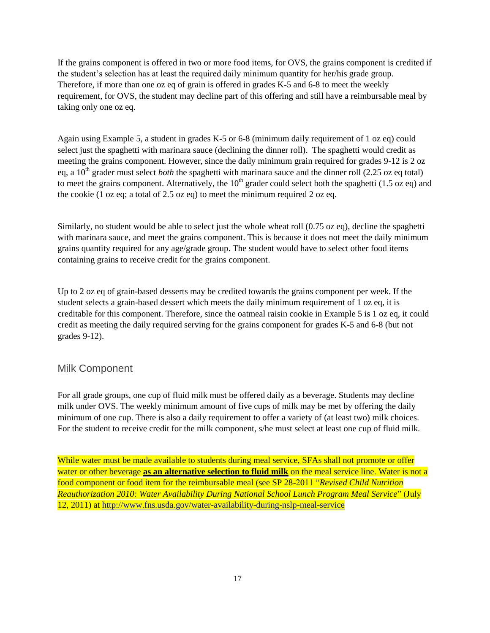If the grains component is offered in two or more food items, for OVS, the grains component is credited if the student's selection has at least the required daily minimum quantity for her/his grade group. Therefore, if more than one oz eq of grain is offered in grades K-5 and 6-8 to meet the weekly requirement, for OVS, the student may decline part of this offering and still have a reimbursable meal by taking only one oz eq.

Again using Example 5, a student in grades K-5 or 6-8 (minimum daily requirement of 1 oz eq) could select just the spaghetti with marinara sauce (declining the dinner roll). The spaghetti would credit as meeting the grains component. However, since the daily minimum grain required for grades 9-12 is 2 oz eq, a 10<sup>th</sup> grader must select *both* the spaghetti with marinara sauce and the dinner roll (2.25 oz eq total) to meet the grains component. Alternatively, the  $10<sup>th</sup>$  grader could select both the spaghetti (1.5 oz eq) and the cookie (1 oz eq; a total of 2.5 oz eq) to meet the minimum required 2 oz eq.

Similarly, no student would be able to select just the whole wheat roll (0.75 oz eq), decline the spaghetti with marinara sauce, and meet the grains component. This is because it does not meet the daily minimum grains quantity required for any age/grade group. The student would have to select other food items containing grains to receive credit for the grains component.

Up to 2 oz eq of grain-based desserts may be credited towards the grains component per week. If the student selects a grain-based dessert which meets the daily minimum requirement of 1 oz eq, it is creditable for this component. Therefore, since the oatmeal raisin cookie in Example 5 is 1 oz eq, it could credit as meeting the daily required serving for the grains component for grades K-5 and 6-8 (but not grades 9-12).

## <span id="page-17-0"></span>Milk Component

For all grade groups, one cup of fluid milk must be offered daily as a beverage. Students may decline milk under OVS. The weekly minimum amount of five cups of milk may be met by offering the daily minimum of one cup. There is also a daily requirement to offer a variety of (at least two) milk choices. For the student to receive credit for the milk component, s/he must select at least one cup of fluid milk.

While water must be made available to students during meal service, SFAs shall not promote or offer water or other beverage **as an alternative selection to fluid milk** on the meal service line. Water is not a food component or food item for the reimbursable meal (see SP 28-2011 "*Revised Child Nutrition Reauthorization 2010: Water Availability During National School Lunch Program Meal Service*" (July 12, 2011) at<http://www.fns.usda.gov/water-availability-during-nslp-meal-service>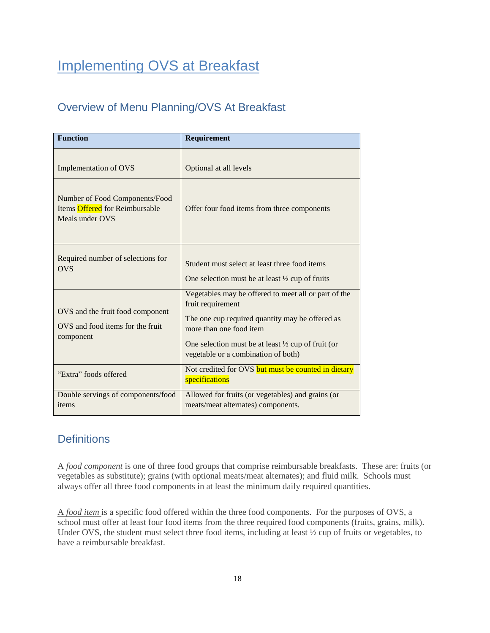# Implementing OVS at Breakfast

## <span id="page-18-0"></span>Overview of Menu Planning/OVS At Breakfast

| <b>Function</b>                                                                     | Requirement                                                                                                                                                                                                                                                     |
|-------------------------------------------------------------------------------------|-----------------------------------------------------------------------------------------------------------------------------------------------------------------------------------------------------------------------------------------------------------------|
| <b>Implementation of OVS</b>                                                        | Optional at all levels                                                                                                                                                                                                                                          |
| Number of Food Components/Food<br>Items Offered for Reimbursable<br>Meals under OVS | Offer four food items from three components                                                                                                                                                                                                                     |
| Required number of selections for<br><b>OVS</b>                                     | Student must select at least three food items<br>One selection must be at least $\frac{1}{2}$ cup of fruits                                                                                                                                                     |
| OVS and the fruit food component<br>OVS and food items for the fruit<br>component   | Vegetables may be offered to meet all or part of the<br>fruit requirement<br>The one cup required quantity may be offered as<br>more than one food item<br>One selection must be at least $\frac{1}{2}$ cup of fruit (or<br>vegetable or a combination of both) |
| "Extra" foods offered                                                               | Not credited for OVS but must be counted in dietary<br>specifications                                                                                                                                                                                           |
| Double servings of components/food<br>items                                         | Allowed for fruits (or vegetables) and grains (or<br>meats/meat alternates) components.                                                                                                                                                                         |

## <span id="page-18-1"></span>**Definitions**

<span id="page-18-2"></span>A *food component* is one of three food groups that comprise reimbursable breakfasts. These are: fruits (or vegetables as substitute); grains (with optional meats/meat alternates); and fluid milk. Schools must always offer all three food components in at least the minimum daily required quantities.

<span id="page-18-3"></span>A *food item* is a specific food offered within the three food components. For the purposes of OVS, a school must offer at least four food items from the three required food components (fruits, grains, milk). Under OVS, the student must select three food items, including at least ½ cup of fruits or vegetables, to have a reimbursable breakfast.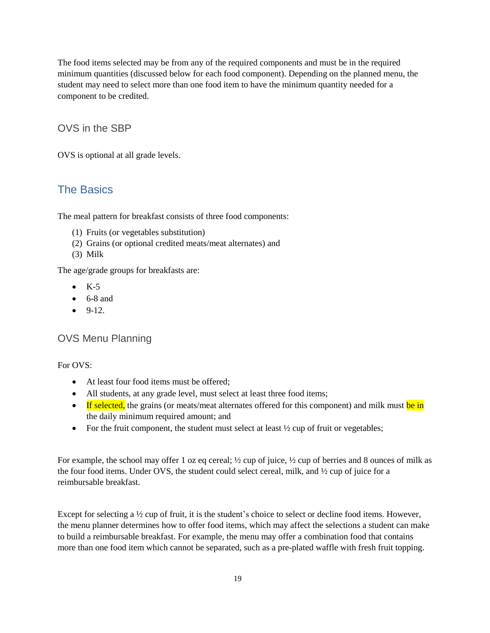The food items selected may be from any of the required components and must be in the required minimum quantities (discussed below for each food component). Depending on the planned menu, the student may need to select more than one food item to have the minimum quantity needed for a component to be credited.

## <span id="page-19-0"></span>OVS in the SBP

OVS is optional at all grade levels.

## <span id="page-19-1"></span>The Basics

The meal pattern for breakfast consists of three food components:

- (1) Fruits (or vegetables substitution)
- (2) Grains (or optional credited meats/meat alternates) and
- (3) Milk

The age/grade groups for breakfasts are:

- $\bullet$  K-5
- $\bullet$  6-8 and
- $-9-12.$

#### <span id="page-19-2"></span>OVS Menu Planning

#### For OVS:

- At least four food items must be offered;
- All students, at any grade level, must select at least three food items;
- **If selected,** the grains (or meats/meat alternates offered for this component) and milk must be in the daily minimum required amount; and
- For the fruit component, the student must select at least  $\frac{1}{2}$  cup of fruit or vegetables;

For example, the school may offer 1 oz eq cereal; ½ cup of juice, ½ cup of berries and 8 ounces of milk as the four food items. Under OVS, the student could select cereal, milk, and ½ cup of juice for a reimbursable breakfast.

Except for selecting a  $\frac{1}{2}$  cup of fruit, it is the student's choice to select or decline food items. However, the menu planner determines how to offer food items, which may affect the selections a student can make to build a reimbursable breakfast. For example, the menu may offer a combination food that contains more than one food item which cannot be separated, such as a pre-plated waffle with fresh fruit topping.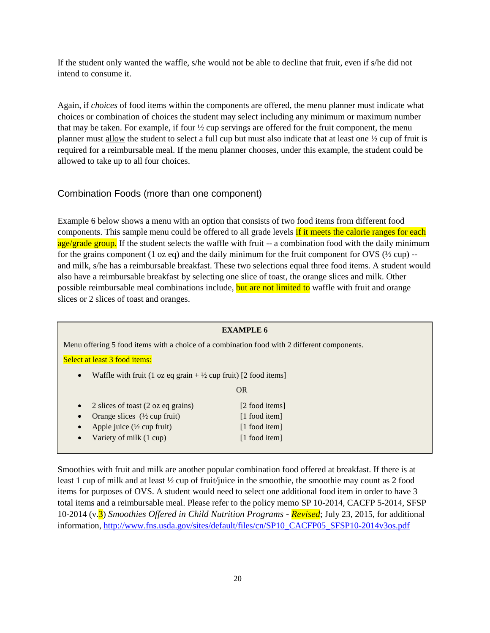If the student only wanted the waffle, s/he would not be able to decline that fruit, even if s/he did not intend to consume it.

Again, if *choices* of food items within the components are offered, the menu planner must indicate what choices or combination of choices the student may select including any minimum or maximum number that may be taken. For example, if four ½ cup servings are offered for the fruit component, the menu planner must allow the student to select a full cup but must also indicate that at least one ½ cup of fruit is required for a reimbursable meal. If the menu planner chooses, under this example, the student could be allowed to take up to all four choices.

#### Combination Foods (more than one component)

Example 6 below shows a menu with an option that consists of two food items from different food components. This sample menu could be offered to all grade levels if it meets the calorie ranges for each age/grade group. If the student selects the waffle with fruit -- a combination food with the daily minimum for the grains component (1 oz eq) and the daily minimum for the fruit component for OVS ( $\frac{1}{2}$  cup) -and milk, s/he has a reimbursable breakfast. These two selections equal three food items. A student would also have a reimbursable breakfast by selecting one slice of toast, the orange slices and milk. Other possible reimbursable meal combinations include, but are not limited to waffle with fruit and orange slices or 2 slices of toast and oranges.

| <b>EXAMPLE 6</b>                                                                            |                |
|---------------------------------------------------------------------------------------------|----------------|
| Menu offering 5 food items with a choice of a combination food with 2 different components. |                |
| Select at least 3 food items:                                                               |                |
| Waffle with fruit (1 oz eq grain $+\frac{1}{2}$ cup fruit) [2 food items]<br>$\bullet$      |                |
|                                                                                             | <b>OR</b>      |
| 2 slices of toast (2 oz eq grains)<br>$\bullet$                                             | [2 food items] |
| Orange slices $(\frac{1}{2}$ cup fruit)<br>$\bullet$                                        | [1 food item]  |
| Apple juice $(\frac{1}{2}$ cup fruit)<br>$\bullet$                                          | [1 food item]  |
| Variety of milk (1 cup)<br>$\bullet$                                                        | [1 food item]  |
|                                                                                             |                |

Smoothies with fruit and milk are another popular combination food offered at breakfast. If there is at least 1 cup of milk and at least ½ cup of fruit/juice in the smoothie, the smoothie may count as 2 food items for purposes of OVS. A student would need to select one additional food item in order to have 3 total items and a reimbursable meal. Please refer to the policy memo SP 10-2014, CACFP 5-2014, SFSP 10-2014 (v.3) *Smoothies Offered in Child Nutrition Programs - Revised*; July 23, 2015, for additional information, [http://www.fns.usda.gov/sites/default/files/cn/SP10\\_CACFP05\\_SFSP10-2014v3os.pdf](http://www.fns.usda.gov/sites/default/files/cn/SP10_CACFP05_SFSP10-2014v3os.pdf)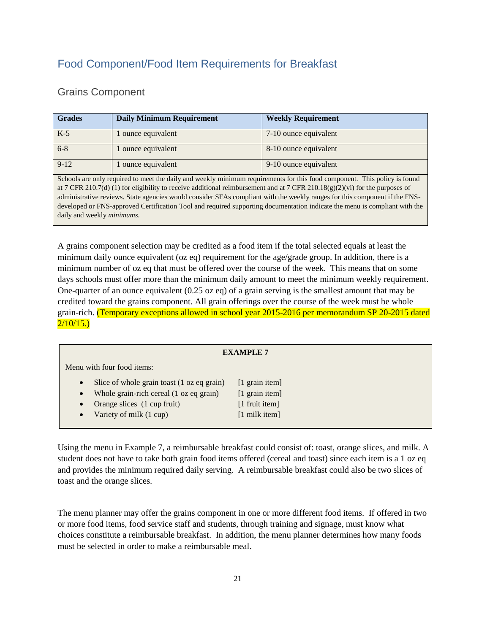## <span id="page-21-0"></span>Food Component/Food Item Requirements for Breakfast

### <span id="page-21-1"></span>Grains Component

| <b>Grades</b>                      | <b>Daily Minimum Requirement</b> | <b>Weekly Requirement</b>                                                                                                                                                                                                                                                                                                                                                                                                                                                                                            |
|------------------------------------|----------------------------------|----------------------------------------------------------------------------------------------------------------------------------------------------------------------------------------------------------------------------------------------------------------------------------------------------------------------------------------------------------------------------------------------------------------------------------------------------------------------------------------------------------------------|
| $K-5$                              | ounce equivalent                 | 7-10 ounce equivalent                                                                                                                                                                                                                                                                                                                                                                                                                                                                                                |
| $6 - 8$                            | ounce equivalent                 | 8-10 ounce equivalent                                                                                                                                                                                                                                                                                                                                                                                                                                                                                                |
| $9-12$                             | ounce equivalent                 | 9-10 ounce equivalent                                                                                                                                                                                                                                                                                                                                                                                                                                                                                                |
| daily and weekly <i>minimums</i> . |                                  | Schools are only required to meet the daily and weekly minimum requirements for this food component. This policy is found<br>at 7 CFR 210.7(d) (1) for eligibility to receive additional reimbursement and at 7 CFR 210.18(g)(2)(vi) for the purposes of<br>administrative reviews. State agencies would consider SFAs compliant with the weekly ranges for this component if the FNS-<br>developed or FNS-approved Certification Tool and required supporting documentation indicate the menu is compliant with the |

A grains component selection may be credited as a food item if the total selected equals at least the minimum daily ounce equivalent (oz eq) requirement for the age/grade group. In addition, there is a minimum number of oz eq that must be offered over the course of the week. This means that on some days schools must offer more than the minimum daily amount to meet the minimum weekly requirement. One-quarter of an ounce equivalent (0.25 oz eq) of a grain serving is the smallest amount that may be credited toward the grains component. All grain offerings over the course of the week must be whole grain-rich. (Temporary exceptions allowed in school year 2015-2016 per memorandum SP 20-2015 dated  $2/10/15.$ 

| <b>EXAMPLE 7</b>           |                                            |                         |
|----------------------------|--------------------------------------------|-------------------------|
| Menu with four food items: |                                            |                         |
| $\bullet$                  | Slice of whole grain toast (1 oz eq grain) | [1 grain item]          |
| $\bullet$                  | Whole grain-rich cereal (1 oz eq grain)    | [1 grain item]          |
| $\bullet$                  | Orange slices (1 cup fruit)                | $[1$ fruit item]        |
| $\bullet$                  | Variety of milk (1 cup)                    | $[1 \text{ milk item}]$ |

Using the menu in Example 7, a reimbursable breakfast could consist of: toast, orange slices, and milk. A student does not have to take both grain food items offered (cereal and toast) since each item is a 1 oz eq and provides the minimum required daily serving. A reimbursable breakfast could also be two slices of toast and the orange slices.

The menu planner may offer the grains component in one or more different food items. If offered in two or more food items, food service staff and students, through training and signage, must know what choices constitute a reimbursable breakfast. In addition, the menu planner determines how many foods must be selected in order to make a reimbursable meal.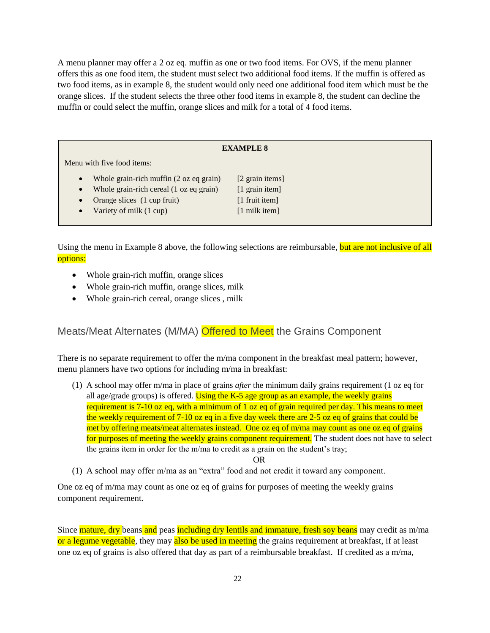A menu planner may offer a 2 oz eq. muffin as one or two food items. For OVS, if the menu planner offers this as one food item, the student must select two additional food items. If the muffin is offered as two food items, as in example 8, the student would only need one additional food item which must be the orange slices. If the student selects the three other food items in example 8, the student can decline the muffin or could select the muffin, orange slices and milk for a total of 4 food items.

#### **EXAMPLE 8**

Menu with five food items:

- Whole grain-rich muffin (2 oz eq grain) [2 grain items]
- Whole grain-rich cereal (1 oz eq grain) [1 grain item]
- Orange slices (1 cup fruit) [1 fruit item]
- Variety of milk (1 cup) [1 milk item]
- 

Using the menu in Example 8 above, the following selections are reimbursable, but are not inclusive of all options:

- Whole grain-rich muffin, orange slices
- Whole grain-rich muffin, orange slices, milk
- Whole grain-rich cereal, orange slices , milk

#### <span id="page-22-0"></span>Meats/Meat Alternates (M/MA) Offered to Meet the Grains Component

There is no separate requirement to offer the m/ma component in the breakfast meal pattern; however, menu planners have two options for including m/ma in breakfast:

(1) A school may offer m/ma in place of grains *after* the minimum daily grains requirement (1 oz eq for all age/grade groups) is offered. Using the K-5 age group as an example, the weekly grains requirement is 7-10 oz eq, with a minimum of 1 oz eq of grain required per day. This means to meet the weekly requirement of 7-10 oz eq in a five day week there are 2-5 oz eq of grains that could be met by offering meats/meat alternates instead. One oz eq of m/ma may count as one oz eq of grains for purposes of meeting the weekly grains component requirement. The student does not have to select the grains item in order for the m/ma to credit as a grain on the student's tray;

#### OR

(1) A school may offer m/ma as an "extra" food and not credit it toward any component.

One oz eq of m/ma may count as one oz eq of grains for purposes of meeting the weekly grains component requirement.

Since mature, dry beans and peas including dry lentils and immature, fresh soy beans may credit as m/ma or a legume vegetable, they may also be used in meeting the grains requirement at breakfast, if at least one oz eq of grains is also offered that day as part of a reimbursable breakfast. If credited as a m/ma,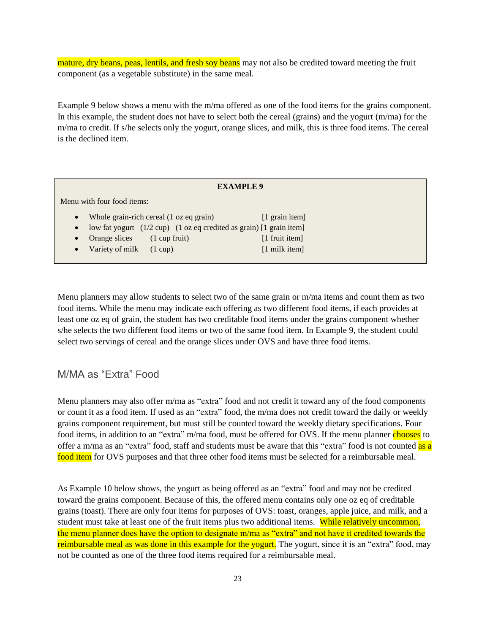mature, dry beans, peas, lentils, and fresh soy beans may not also be credited toward meeting the fruit component (as a vegetable substitute) in the same meal.

Example 9 below shows a menu with the m/ma offered as one of the food items for the grains component. In this example, the student does not have to select both the cereal (grains) and the yogurt (m/ma) for the m/ma to credit. If s/he selects only the yogurt, orange slices, and milk, this is three food items. The cereal is the declined item.

| <b>EXAMPLE 9</b>           |                                     |                                         |                                                                                         |  |  |  |  |
|----------------------------|-------------------------------------|-----------------------------------------|-----------------------------------------------------------------------------------------|--|--|--|--|
| Menu with four food items: |                                     |                                         |                                                                                         |  |  |  |  |
| $\bullet$                  |                                     | Whole grain-rich cereal (1 oz eq grain) | $\lceil 1 \rceil$ grain item                                                            |  |  |  |  |
| $\bullet$                  |                                     |                                         | low fat yogurt $(1/2$ cup) $(1 \text{ oz eq} \text{ credited as grain})$ [1 grain item] |  |  |  |  |
| $\bullet$                  | Orange slices                       | $(1 \text{ cup fruit})$                 | $[1$ fruit item]                                                                        |  |  |  |  |
|                            | • Variety of milk $(1 \text{ cup})$ |                                         | $[1 \text{ milk item}]$                                                                 |  |  |  |  |

Menu planners may allow students to select two of the same grain or m/ma items and count them as two food items. While the menu may indicate each offering as two different food items, if each provides at least one oz eq of grain, the student has two creditable food items under the grains component whether s/he selects the two different food items or two of the same food item. In Example 9, the student could select two servings of cereal and the orange slices under OVS and have three food items.

## <span id="page-23-0"></span>M/MA as "Extra" Food

Menu planners may also offer m/ma as "extra" food and not credit it toward any of the food components or count it as a food item. If used as an "extra" food, the m/ma does not credit toward the daily or weekly grains component requirement, but must still be counted toward the weekly dietary specifications. Four food items, in addition to an "extra" m/ma food, must be offered for OVS. If the menu planner chooses to offer a m/ma as an "extra" food, staff and students must be aware that this "extra" food is not counted as a food item for OVS purposes and that three other food items must be selected for a reimbursable meal.

As Example 10 below shows, the yogurt as being offered as an "extra" food and may not be credited toward the grains component. Because of this, the offered menu contains only one oz eq of creditable grains (toast). There are only four items for purposes of OVS: toast, oranges, apple juice, and milk, and a student must take at least one of the fruit items plus two additional items. While relatively uncommon, the menu planner does have the option to designate m/ma as "extra" and not have it credited towards the reimbursable meal as was done in this example for the yogurt. The yogurt, since it is an "extra" food, may not be counted as one of the three food items required for a reimbursable meal.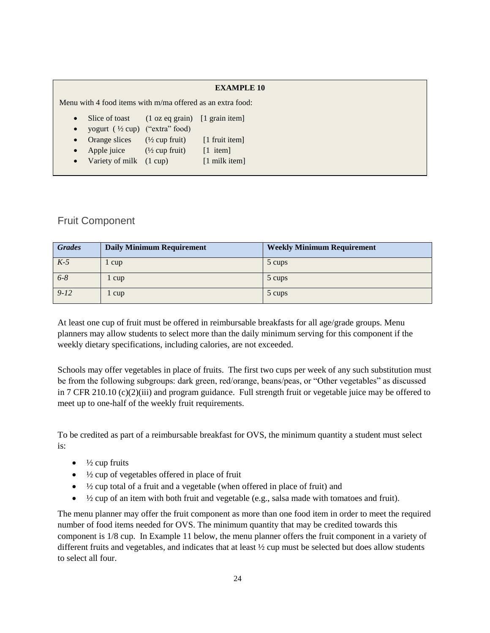|                                                              | <b>EXAMPLE 10</b>                                                        |                                          |                                                    |  |  |  |  |  |
|--------------------------------------------------------------|--------------------------------------------------------------------------|------------------------------------------|----------------------------------------------------|--|--|--|--|--|
| Menu with 4 food items with $m/ma$ offered as an extra food: |                                                                          |                                          |                                                    |  |  |  |  |  |
| $\bullet$<br>$\bullet$                                       | Slice of toast<br>yogurt $(\frac{1}{2}$ cup) ("extra" food)              | $(1 \text{ oz eq grain})$ [1 grain item] |                                                    |  |  |  |  |  |
| $\bullet$                                                    | Orange slices $(\frac{1}{2}$ cup fruit)                                  |                                          | $\lceil 1$ fruit item                              |  |  |  |  |  |
| $\bullet$<br>$\bullet$                                       | Apple juice $(\frac{1}{2} \text{ cup fruit})$<br>Variety of milk (1 cup) |                                          | $\lceil 1 \rangle$ item<br>$[1 \text{ milk item}]$ |  |  |  |  |  |

## <span id="page-24-0"></span>Fruit Component

| <b>Grades</b> | <b>Daily Minimum Requirement</b> | <b>Weekly Minimum Requirement</b> |
|---------------|----------------------------------|-----------------------------------|
| $K-5$         | cup                              | 5 cups                            |
| $6 - 8$       | cup                              | 5 cups                            |
| $9 - 12$      | l cup                            | 5 cups                            |

At least one cup of fruit must be offered in reimbursable breakfasts for all age/grade groups. Menu planners may allow students to select more than the daily minimum serving for this component if the weekly dietary specifications, including calories, are not exceeded.

Schools may offer vegetables in place of fruits. The first two cups per week of any such substitution must be from the following subgroups: dark green, red/orange, beans/peas, or "Other vegetables" as discussed in 7 CFR 210.10 (c)(2)(iii) and program guidance. Full strength fruit or vegetable juice may be offered to meet up to one-half of the weekly fruit requirements.

To be credited as part of a reimbursable breakfast for OVS, the minimum quantity a student must select is:

- $\bullet$   $\frac{1}{2}$  cup fruits
- $\bullet$   $\frac{1}{2}$  cup of vegetables offered in place of fruit
- $\bullet$   $\frac{1}{2}$  cup total of a fruit and a vegetable (when offered in place of fruit) and
- ½ cup of an item with both fruit and vegetable (e.g., salsa made with tomatoes and fruit).

The menu planner may offer the fruit component as more than one food item in order to meet the required number of food items needed for OVS. The minimum quantity that may be credited towards this component is 1/8 cup. In Example 11 below, the menu planner offers the fruit component in a variety of different fruits and vegetables, and indicates that at least ½ cup must be selected but does allow students to select all four.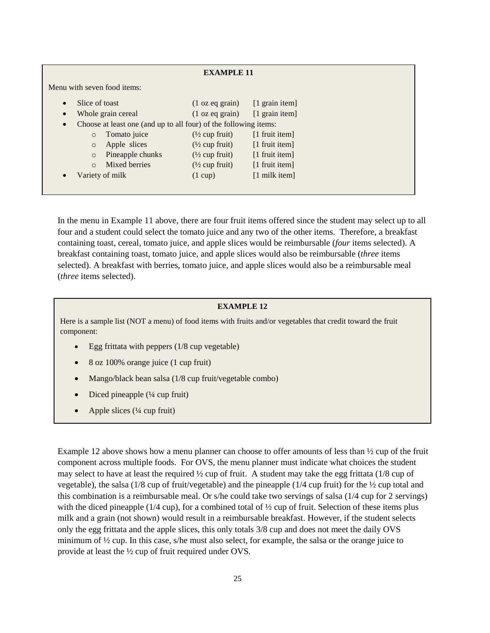| <b>EXAMPLE 11</b>                                                             |                    |                           |                           |                          |  |  |  |
|-------------------------------------------------------------------------------|--------------------|---------------------------|---------------------------|--------------------------|--|--|--|
| Menu with seven food items:                                                   |                    |                           |                           |                          |  |  |  |
| Slice of toast<br>$\bullet$                                                   |                    | $(1 \text{ oz eq grain})$ | [1 grain item]            |                          |  |  |  |
| $\bullet$                                                                     | Whole grain cereal |                           | $(1 \text{ oz eq grain})$ | $[1 \text{ grain item}]$ |  |  |  |
| Choose at least one (and up to all four) of the following items:<br>$\bullet$ |                    |                           |                           |                          |  |  |  |
|                                                                               | $\circ$            | Tomato juice              | $(\frac{1}{2}$ cup fruit) | $[1$ fruit item]         |  |  |  |
|                                                                               | $\circ$            | Apple slices              | $(\frac{1}{2}$ cup fruit) | $[1$ fruit item]         |  |  |  |
|                                                                               | $\circ$            | Pineapple chunks          | $(\frac{1}{2}$ cup fruit) | $[1$ fruit item]         |  |  |  |
|                                                                               | $\Omega$           | Mixed berries             | $(\frac{1}{2}$ cup fruit) | $[1$ fruit item]         |  |  |  |
| $\bullet$                                                                     | Variety of milk    |                           | $(1 \text{ cup})$         | $[1 \text{ milk item}]$  |  |  |  |
|                                                                               |                    |                           |                           |                          |  |  |  |

In the menu in Example 11 above, there are four fruit items offered since the student may select up to all four and a student could select the tomato juice and any two of the other items. Therefore, a breakfast containing toast, cereal, tomato juice, and apple slices would be reimbursable (*four* items selected). A breakfast containing toast, tomato juice, and apple slices would also be reimbursable (*three* items selected). A breakfast with berries, tomato juice, and apple slices would also be a reimbursable meal (*three* items selected).

#### **EXAMPLE 12**

Here is a sample list (NOT a menu) of food items with fruits and/or vegetables that credit toward the fruit component:

- Egg frittata with peppers (1/8 cup vegetable)
- 8 oz 100% orange juice (1 cup fruit)
- Mango/black bean salsa (1/8 cup fruit/vegetable combo)
- $\bullet$  Diced pineapple ( $\frac{1}{4}$  cup fruit)
- Apple slices  $(\frac{1}{4}$  cup fruit)

Example 12 above shows how a menu planner can choose to offer amounts of less than ½ cup of the fruit component across multiple foods. For OVS, the menu planner must indicate what choices the student may select to have at least the required  $\frac{1}{2}$  cup of fruit. A student may take the egg frittata (1/8 cup of vegetable), the salsa (1/8 cup of fruit/vegetable) and the pineapple (1/4 cup fruit) for the ½ cup total and this combination is a reimbursable meal. Or s/he could take two servings of salsa (1/4 cup for 2 servings) with the diced pineapple ( $1/4$  cup), for a combined total of  $\frac{1}{2}$  cup of fruit. Selection of these items plus milk and a grain (not shown) would result in a reimbursable breakfast. However, if the student selects only the egg frittata and the apple slices, this only totals 3/8 cup and does not meet the daily OVS minimum of ½ cup. In this case, s/he must also select, for example, the salsa or the orange juice to provide at least the ½ cup of fruit required under OVS.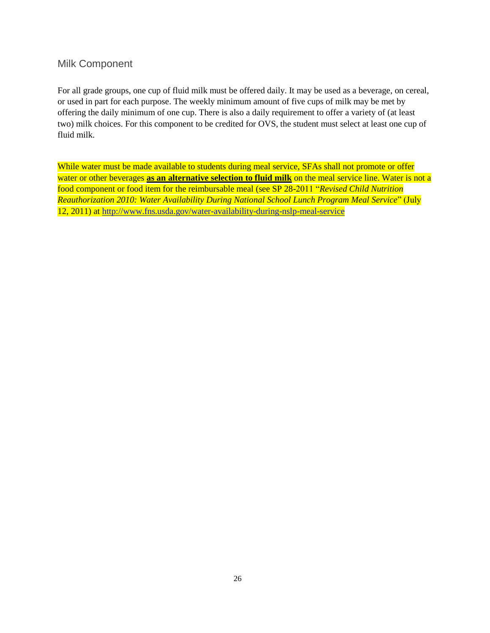#### <span id="page-26-0"></span>Milk Component

For all grade groups, one cup of fluid milk must be offered daily. It may be used as a beverage, on cereal, or used in part for each purpose. The weekly minimum amount of five cups of milk may be met by offering the daily minimum of one cup. There is also a daily requirement to offer a variety of (at least two) milk choices. For this component to be credited for OVS, the student must select at least one cup of fluid milk.

While water must be made available to students during meal service, SFAs shall not promote or offer water or other beverages **as an alternative selection to fluid milk** on the meal service line. Water is not a food component or food item for the reimbursable meal (see SP 28-2011 "*Revised Child Nutrition Reauthorization 2010: Water Availability During National School Lunch Program Meal Service*" (July 12, 2011) at<http://www.fns.usda.gov/water-availability-during-nslp-meal-service>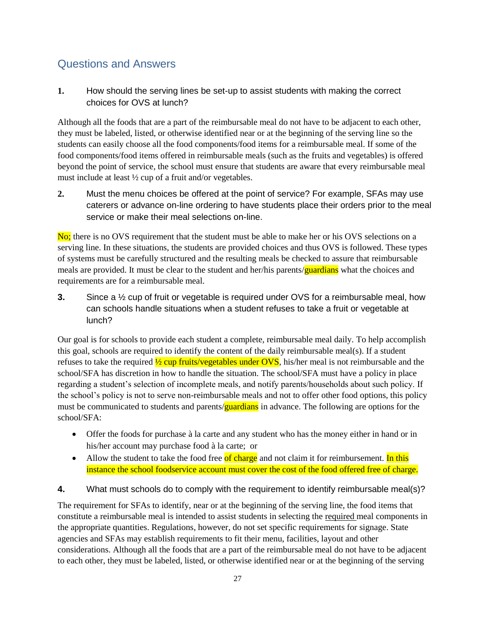## <span id="page-27-0"></span>Questions and Answers

**1.** How should the serving lines be set-up to assist students with making the correct choices for OVS at lunch?

Although all the foods that are a part of the reimbursable meal do not have to be adjacent to each other, they must be labeled, listed, or otherwise identified near or at the beginning of the serving line so the students can easily choose all the food components/food items for a reimbursable meal. If some of the food components/food items offered in reimbursable meals (such as the fruits and vegetables) is offered beyond the point of service, the school must ensure that students are aware that every reimbursable meal must include at least ½ cup of a fruit and/or vegetables.

**2.** Must the menu choices be offered at the point of service? For example, SFAs may use caterers or advance on-line ordering to have students place their orders prior to the meal service or make their meal selections on-line.

No; there is no OVS requirement that the student must be able to make her or his OVS selections on a serving line. In these situations, the students are provided choices and thus OVS is followed. These types of systems must be carefully structured and the resulting meals be checked to assure that reimbursable meals are provided. It must be clear to the student and her/his parents/**guardians** what the choices and requirements are for a reimbursable meal.

**3.** Since a ½ cup of fruit or vegetable is required under OVS for a reimbursable meal, how can schools handle situations when a student refuses to take a fruit or vegetable at lunch?

Our goal is for schools to provide each student a complete, reimbursable meal daily. To help accomplish this goal, schools are required to identify the content of the daily reimbursable meal(s). If a student refuses to take the required  $\frac{1}{2}$  cup fruits/vegetables under OVS, his/her meal is not reimbursable and the school/SFA has discretion in how to handle the situation. The school/SFA must have a policy in place regarding a student's selection of incomplete meals, and notify parents/households about such policy. If the school's policy is not to serve non-reimbursable meals and not to offer other food options, this policy must be communicated to students and parents/**guardians** in advance. The following are options for the school/SFA:

- Offer the foods for purchase à la carte and any student who has the money either in hand or in his/her account may purchase food à la carte; or
- Allow the student to take the food free of charge and not claim it for reimbursement. In this instance the school foodservice account must cover the cost of the food offered free of charge.

**4.** What must schools do to comply with the requirement to identify reimbursable meal(s)?

The requirement for SFAs to identify, near or at the beginning of the serving line, the food items that constitute a reimbursable meal is intended to assist students in selecting the required meal components in the appropriate quantities. Regulations, however, do not set specific requirements for signage. State agencies and SFAs may establish requirements to fit their menu, facilities, layout and other considerations. Although all the foods that are a part of the reimbursable meal do not have to be adjacent to each other, they must be labeled, listed, or otherwise identified near or at the beginning of the serving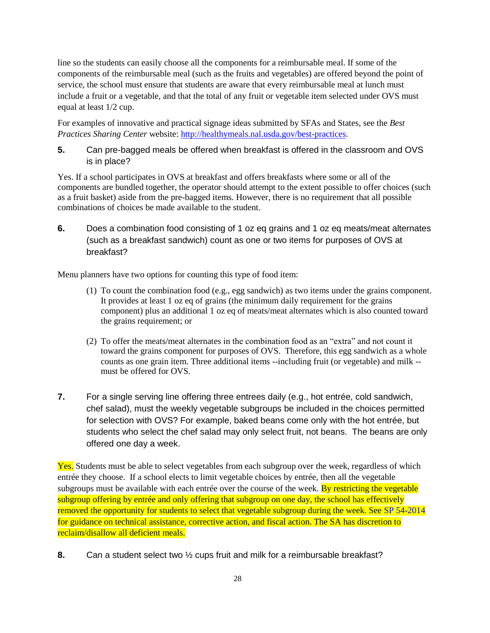line so the students can easily choose all the components for a reimbursable meal. If some of the components of the reimbursable meal (such as the fruits and vegetables) are offered beyond the point of service, the school must ensure that students are aware that every reimbursable meal at lunch must include a fruit or a vegetable, and that the total of any fruit or vegetable item selected under OVS must equal at least 1/2 cup.

For examples of innovative and practical signage ideas submitted by SFAs and States, see the *Best Practices Sharing Center* website: [http://healthymeals.nal.usda.gov/best-practices.](http://healthymeals.nal.usda.gov/best-practices)

**5.** Can pre-bagged meals be offered when breakfast is offered in the classroom and OVS is in place?

Yes. If a school participates in OVS at breakfast and offers breakfasts where some or all of the components are bundled together, the operator should attempt to the extent possible to offer choices (such as a fruit basket) aside from the pre-bagged items. However, there is no requirement that all possible combinations of choices be made available to the student.

**6.** Does a combination food consisting of 1 oz eq grains and 1 oz eq meats/meat alternates (such as a breakfast sandwich) count as one or two items for purposes of OVS at breakfast?

Menu planners have two options for counting this type of food item:

- (1) To count the combination food (e.g., egg sandwich) as two items under the grains component. It provides at least 1 oz eq of grains (the minimum daily requirement for the grains component) plus an additional 1 oz eq of meats/meat alternates which is also counted toward the grains requirement; or
- (2) To offer the meats/meat alternates in the combination food as an "extra" and not count it toward the grains component for purposes of OVS. Therefore, this egg sandwich as a whole counts as one grain item. Three additional items --including fruit (or vegetable) and milk - must be offered for OVS.
- **7.** For a single serving line offering three entrees daily (e.g., hot entrée, cold sandwich, chef salad), must the weekly vegetable subgroups be included in the choices permitted for selection with OVS? For example, baked beans come only with the hot entrée, but students who select the chef salad may only select fruit, not beans. The beans are only offered one day a week.

Yes. Students must be able to select vegetables from each subgroup over the week, regardless of which entrée they choose. If a school elects to limit vegetable choices by entrée, then all the vegetable subgroups must be available with each entrée over the course of the week. By restricting the vegetable subgroup offering by entrée and only offering that subgroup on one day, the school has effectively removed the opportunity for students to select that vegetable subgroup during the week. See SP 54-2014 for guidance on technical assistance, corrective action, and fiscal action. The SA has discretion to reclaim/disallow all deficient meals.

**8.** Can a student select two ½ cups fruit and milk for a reimbursable breakfast?